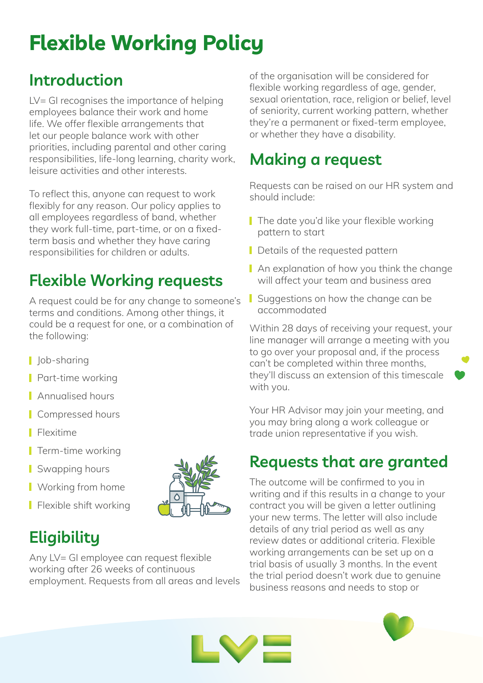# **Flexible Working Policy**

## **Introduction**

LV= GI recognises the importance of helping employees balance their work and home life. We offer flexible arrangements that let our people balance work with other priorities, including parental and other caring responsibilities, life-long learning, charity work, leisure activities and other interests.

To reflect this, anyone can request to work flexibly for any reason. Our policy applies to all employees regardless of band, whether they work full-time, part-time, or on a fixedterm basis and whether they have caring responsibilities for children or adults.

# **Flexible Working requests**

A request could be for any change to someone's terms and conditions. Among other things, it could be a request for one, or a combination of the following:

- | *Job-sharing*
- **Part-time working**
- **Annualised hours**
- **Compressed hours**
- **Flexitime**
- $\blacksquare$  Term-time working
- Swapping hours
- **Norking from home**
- **Flexible shift working**

# **Eligibility**

Any LV= GI employee can request flexible working after 26 weeks of continuous employment. Requests from all areas and levels of the organisation will be considered for flexible working regardless of age, gender, sexual orientation, race, religion or belief, level of seniority, current working pattern, whether they're a permanent or fixed-term employee, or whether they have a disability.

# **Making a request**

Requests can be raised on our HR system and should include:

- The date you'd like your flexible working pattern to start
- Details of the requested pattern
- An explanation of how you think the change will affect your team and business area
- Suggestions on how the change can be accommodated

Within 28 days of receiving your request, your line manager will arrange a meeting with you to go over your proposal and, if the process can't be completed within three months, they'll discuss an extension of this timescale with you.

Your HR Advisor may join your meeting, and you may bring along a work colleague or trade union representative if you wish.

#### **Requests that are granted**

The outcome will be confirmed to you in writing and if this results in a change to your contract you will be given a letter outlining your new terms. The letter will also include details of any trial period as well as any review dates or additional criteria. Flexible working arrangements can be set up on a trial basis of usually 3 months. In the event the trial period doesn't work due to genuine business reasons and needs to stop or